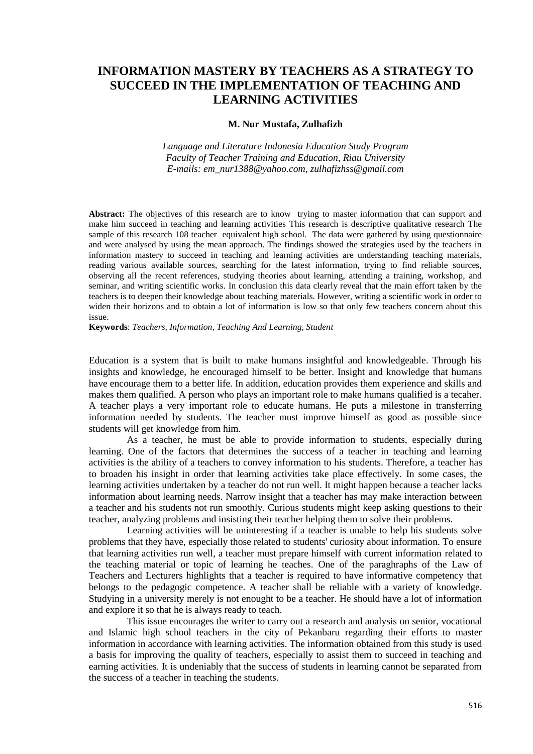# **INFORMATION MASTERY BY TEACHERS AS A STRATEGY TO SUCCEED IN THE IMPLEMENTATION OF TEACHING AND LEARNING ACTIVITIES**

## **M. Nur Mustafa, Zulhafizh**

*Language and Literature Indonesia Education Study Program Faculty of Teacher Training and Education, Riau University E-mails: em\_nur1388@yahoo.com, zulhafizhss@gmail.com*

**Abstract:** The objectives of this research are to know trying to master information that can support and make him succeed in teaching and learning activities This research is descriptive qualitative research The sample of this research 108 teacher equivalent high school. The data were gathered by using questionnaire and were analysed by using the mean approach. The findings showed the strategies used by the teachers in information mastery to succeed in teaching and learning activities are understanding teaching materials, reading various available sources, searching for the latest information, trying to find reliable sources, observing all the recent references, studying theories about learning, attending a training, workshop, and seminar, and writing scientific works. In conclusion this data clearly reveal that the main effort taken by the teachers is to deepen their knowledge about teaching materials. However, writing a scientific work in order to widen their horizons and to obtain a lot of information is low so that only few teachers concern about this issue.

**Keywords**: *Teachers, Information, Teaching And Learning, Student*

Education is a system that is built to make humans insightful and knowledgeable. Through his insights and knowledge, he encouraged himself to be better. Insight and knowledge that humans have encourage them to a better life. In addition, education provides them experience and skills and makes them qualified. A person who plays an important role to make humans qualified is a tecaher. A teacher plays a very important role to educate humans. He puts a milestone in transferring information needed by students. The teacher must improve himself as good as possible since students will get knowledge from him.

As a teacher, he must be able to provide information to students, especially during learning. One of the factors that determines the success of a teacher in teaching and learning activities is the ability of a teachers to convey information to his students. Therefore, a teacher has to broaden his insight in order that learning activities take place effectively. In some cases, the learning activities undertaken by a teacher do not run well. It might happen because a teacher lacks information about learning needs. Narrow insight that a teacher has may make interaction between a teacher and his students not run smoothly. Curious students might keep asking questions to their teacher, analyzing problems and insisting their teacher helping them to solve their problems.

Learning activities will be uninteresting if a teacher is unable to help his students solve problems that they have, especially those related to students' curiosity about information. To ensure that learning activities run well, a teacher must prepare himself with current information related to the teaching material or topic of learning he teaches. One of the paraghraphs of the Law of Teachers and Lecturers highlights that a teacher is required to have informative competency that belongs to the pedagogic competence. A teacher shall be reliable with a variety of knowledge. Studying in a university merely is not enought to be a teacher. He should have a lot of information and explore it so that he is always ready to teach.

This issue encourages the writer to carry out a research and analysis on senior, vocational and Islamic high school teachers in the city of Pekanbaru regarding their efforts to master information in accordance with learning activities. The information obtained from this study is used a basis for improving the quality of teachers, especially to assist them to succeed in teaching and earning activities. It is undeniably that the success of students in learning cannot be separated from the success of a teacher in teaching the students.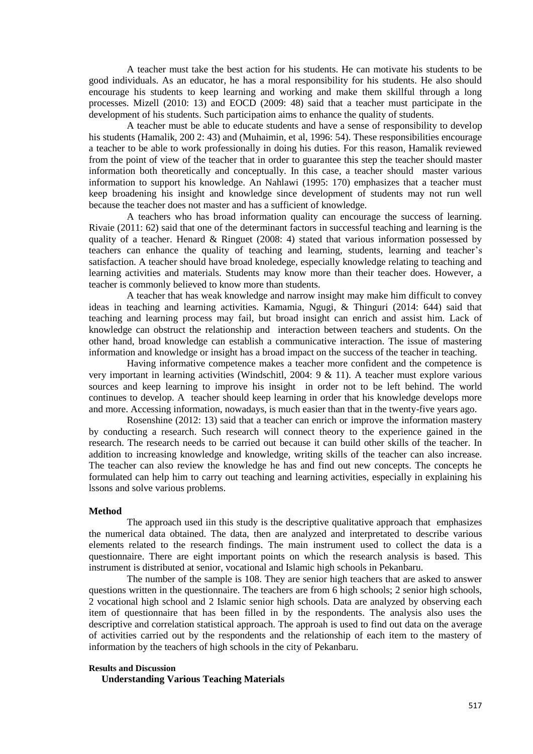A teacher must take the best action for his students. He can motivate his students to be good individuals. As an educator, he has a moral responsibility for his students. He also should encourage his students to keep learning and working and make them skillful through a long processes. Mizell (2010: 13) and EOCD (2009: 48) said that a teacher must participate in the development of his students. Such participation aims to enhance the quality of students.

A teacher must be able to educate students and have a sense of responsibility to develop his students (Hamalik, 200 2: 43) and (Muhaimin, et al, 1996: 54). These responsibilities encourage a teacher to be able to work professionally in doing his duties. For this reason, Hamalik reviewed from the point of view of the teacher that in order to guarantee this step the teacher should master information both theoretically and conceptually. In this case, a teacher should master various information to support his knowledge. An Nahlawi (1995: 170) emphasizes that a teacher must keep broadening his insight and knowledge since development of students may not run well because the teacher does not master and has a sufficient of knowledge.

A teachers who has broad information quality can encourage the success of learning. Rivaie (2011: 62) said that one of the determinant factors in successful teaching and learning is the quality of a teacher. Henard  $\&$  Ringuet (2008: 4) stated that various information possessed by teachers can enhance the quality of teaching and learning, students, learning and teacher's satisfaction. A teacher should have broad knoledege, especially knowledge relating to teaching and learning activities and materials. Students may know more than their teacher does. However, a teacher is commonly believed to know more than students.

A teacher that has weak knowledge and narrow insight may make him difficult to convey ideas in teaching and learning activities. Kamamia, Ngugi, & Thinguri (2014: 644) said that teaching and learning process may fail, but broad insight can enrich and assist him. Lack of knowledge can obstruct the relationship and interaction between teachers and students. On the other hand, broad knowledge can establish a communicative interaction. The issue of mastering information and knowledge or insight has a broad impact on the success of the teacher in teaching.

Having informative competence makes a teacher more confident and the competence is very important in learning activities (Windschitl, 2004: 9 & 11). A teacher must explore various sources and keep learning to improve his insight in order not to be left behind. The world continues to develop. A teacher should keep learning in order that his knowledge develops more and more. Accessing information, nowadays, is much easier than that in the twenty-five years ago.

Rosenshine (2012: 13) said that a teacher can enrich or improve the information mastery by conducting a research. Such research will connect theory to the experience gained in the research. The research needs to be carried out because it can build other skills of the teacher. In addition to increasing knowledge and knowledge, writing skills of the teacher can also increase. The teacher can also review the knowledge he has and find out new concepts. The concepts he formulated can help him to carry out teaching and learning activities, especially in explaining his lssons and solve various problems.

## **Method**

The approach used iin this study is the descriptive qualitative approach that emphasizes the numerical data obtained. The data, then are analyzed and interpretated to describe various elements related to the research findings. The main instrument used to collect the data is a questionnaire. There are eight important points on which the research analysis is based. This instrument is distributed at senior, vocational and Islamic high schools in Pekanbaru.

The number of the sample is 108. They are senior high teachers that are asked to answer questions written in the questionnaire. The teachers are from 6 high schools; 2 senior high schools, 2 vocational high school and 2 Islamic senior high schools. Data are analyzed by observing each item of questionnaire that has been filled in by the respondents. The analysis also uses the descriptive and correlation statistical approach. The approah is used to find out data on the average of activities carried out by the respondents and the relationship of each item to the mastery of information by the teachers of high schools in the city of Pekanbaru.

#### **Results and Discussion**

**Understanding Various Teaching Materials**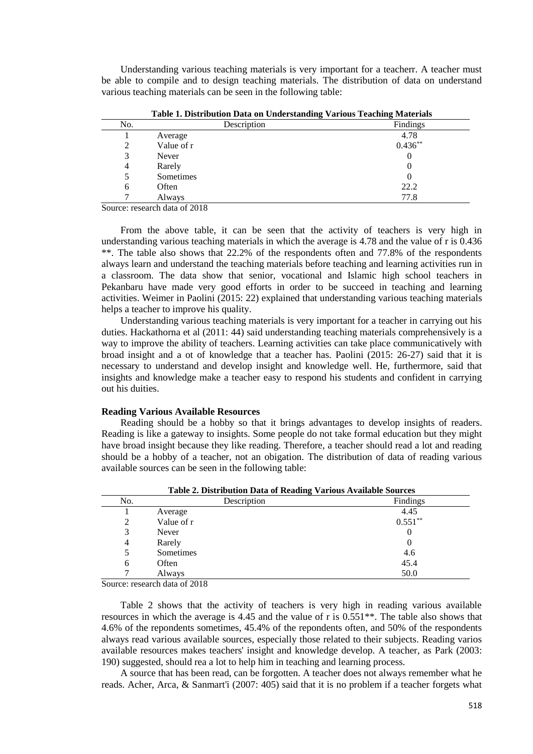Understanding various teaching materials is very important for a teacherr. A teacher must be able to compile and to design teaching materials. The distribution of data on understand various teaching materials can be seen in the following table:

| Tubic 1. Distribution Dutu on Chucristanum, Various Teaching Practitus |             |            |
|------------------------------------------------------------------------|-------------|------------|
| No.                                                                    | Description | Findings   |
|                                                                        | Average     | 4.78       |
| 2                                                                      | Value of r  | $0.436***$ |
| 3                                                                      | Never       | 0          |
| 4                                                                      | Rarely      | U          |
|                                                                        | Sometimes   | 0          |
| 6                                                                      | Often       | 22.2       |
|                                                                        | Always      | 77.8       |

**Table 1. Distribution Data on Understanding Various Teaching Materials**

Source: research data of 2018

From the above table, it can be seen that the activity of teachers is very high in understanding various teaching materials in which the average is 4.78 and the value of r is 0.436 \*\*. The table also shows that 22.2% of the respondents often and 77.8% of the respondents always learn and understand the teaching materials before teaching and learning activities run in a classroom. The data show that senior, vocational and Islamic high school teachers in Pekanbaru have made very good efforts in order to be succeed in teaching and learning activities. Weimer in Paolini (2015: 22) explained that understanding various teaching materials helps a teacher to improve his quality.

Understanding various teaching materials is very important for a teacher in carrying out his duties. Hackathorna et al (2011: 44) said understanding teaching materials comprehensively is a way to improve the ability of teachers. Learning activities can take place communicatively with broad insight and a ot of knowledge that a teacher has. Paolini (2015: 26-27) said that it is necessary to understand and develop insight and knowledge well. He, furthermore, said that insights and knowledge make a teacher easy to respond his students and confident in carrying out his duities.

#### **Reading Various Available Resources**

Reading should be a hobby so that it brings advantages to develop insights of readers. Reading is like a gateway to insights. Some people do not take formal education but they might have broad insight because they like reading. Therefore, a teacher should read a lot and reading should be a hobby of a teacher, not an obigation. The distribution of data of reading various available sources can be seen in the following table:

| Table 2. Distribution Data of Reading Various Avanable Sources |             |            |
|----------------------------------------------------------------|-------------|------------|
| No.                                                            | Description | Findings   |
|                                                                | Average     | 4.45       |
| 2                                                              | Value of r  | $0.551***$ |
| 3                                                              | Never       |            |
| 4                                                              | Rarely      |            |
| 5                                                              | Sometimes   | 4.6        |
| 6                                                              | Often       | 45.4       |
|                                                                | Always      | 50.0       |
|                                                                |             |            |

**Table 2. Distribution Data of Reading Various Available Sources**

Source: research data of 2018

Table 2 shows that the activity of teachers is very high in reading various available resources in which the average is 4.45 and the value of r is 0.551\*\*. The table also shows that 4.6% of the repondents sometimes, 45.4% of the repondents often, and 50% of the respondents always read various available sources, especially those related to their subjects. Reading varios available resources makes teachers' insight and knowledge develop. A teacher, as Park (2003: 190) suggested, should rea a lot to help him in teaching and learning process.

A source that has been read, can be forgotten. A teacher does not always remember what he reads. Acher, Arca, & Sanmart'i (2007: 405) said that it is no problem if a teacher forgets what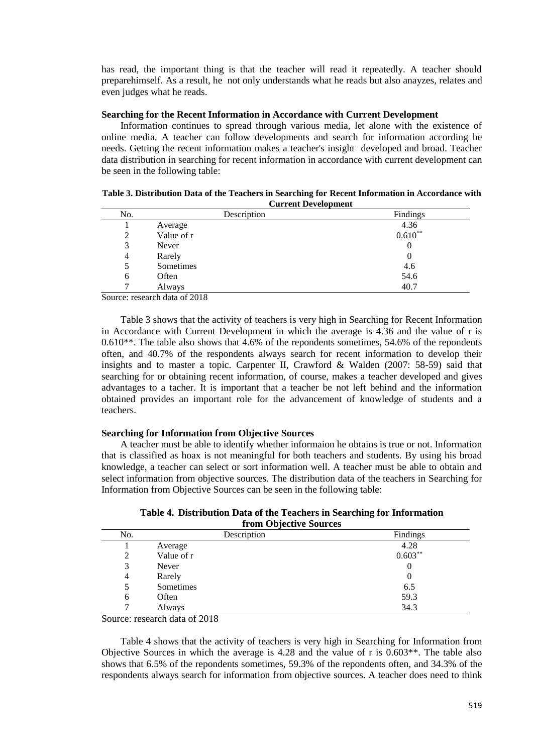has read, the important thing is that the teacher will read it repeatedly. A teacher should preparehimself. As a result, he not only understands what he reads but also anayzes, relates and even judges what he reads.

## **Searching for the Recent Information in Accordance with Current Development**

Information continues to spread through various media, let alone with the existence of online media. A teacher can follow developments and search for information according he needs. Getting the recent information makes a teacher's insight developed and broad. Teacher data distribution in searching for recent information in accordance with current development can be seen in the following table:

|                | Carrent Development |           |
|----------------|---------------------|-----------|
| No.            | Description         | Findings  |
|                | Average             | 4.36      |
| 2              | Value of r          | $0.610**$ |
| 3              | Never               | O         |
| $\overline{4}$ | Rarely              | 0         |
| 5              | Sometimes           | 4.6       |
| 6              | Often               | 54.6      |
|                | Always              | 40.7      |

| Table 3. Distribution Data of the Teachers in Searching for Recent Information in Accordance with |
|---------------------------------------------------------------------------------------------------|
| <b>Current Development</b>                                                                        |

Source: research data of 2018

Table 3 shows that the activity of teachers is very high in Searching for Recent Information in Accordance with Current Development in which the average is 4.36 and the value of r is  $0.610$ <sup>\*\*</sup>. The table also shows that 4.6% of the repondents sometimes, 54.6% of the repondents often, and 40.7% of the respondents always search for recent information to develop their insights and to master a topic. Carpenter II, Crawford & Walden (2007: 58-59) said that searching for or obtaining recent information, of course, makes a teacher developed and gives advantages to a tacher. It is important that a teacher be not left behind and the information obtained provides an important role for the advancement of knowledge of students and a teachers.

## **Searching for Information from Objective Sources**

A teacher must be able to identify whether informaion he obtains is true or not. Information that is classified as hoax is not meaningful for both teachers and students. By using his broad knowledge, a teacher can select or sort information well. A teacher must be able to obtain and select information from objective sources. The distribution data of the teachers in Searching for Information from Objective Sources can be seen in the following table:

|                        | Table 4. Distribution Data of the Teachers in Searching for Information |  |
|------------------------|-------------------------------------------------------------------------|--|
| from Objective Sources |                                                                         |  |

| mom objective bources |             |           |
|-----------------------|-------------|-----------|
| No.                   | Description | Findings  |
|                       | Average     | 4.28      |
| 2                     | Value of r  | $0.603**$ |
| 3                     | Never       | U         |
| 4                     | Rarely      |           |
|                       | Sometimes   | 6.5       |
| 6                     | Often       | 59.3      |
|                       | Always      | 34.3      |

Source: research data of 2018

Table 4 shows that the activity of teachers is very high in Searching for Information from Objective Sources in which the average is 4.28 and the value of r is 0.603\*\*. The table also shows that 6.5% of the repondents sometimes, 59.3% of the repondents often, and 34.3% of the respondents always search for information from objective sources. A teacher does need to think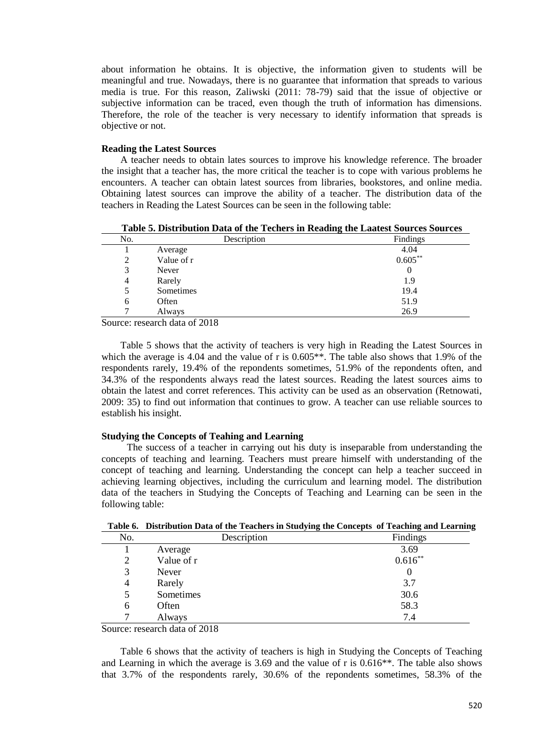about information he obtains. It is objective, the information given to students will be meaningful and true. Nowadays, there is no guarantee that information that spreads to various media is true. For this reason, Zaliwski (2011: 78-79) said that the issue of objective or subjective information can be traced, even though the truth of information has dimensions. Therefore, the role of the teacher is very necessary to identify information that spreads is objective or not.

## **Reading the Latest Sources**

A teacher needs to obtain lates sources to improve his knowledge reference. The broader the insight that a teacher has, the more critical the teacher is to cope with various problems he encounters. A teacher can obtain latest sources from libraries, bookstores, and online media. Obtaining latest sources can improve the ability of a teacher. The distribution data of the teachers in Reading the Latest Sources can be seen in the following table:

**Table 5. Distribution Data of the Techers in Reading the Laatest Sources Sources**

| 4.04<br>Average<br>$0.605**$<br>Value of r<br>2<br>3<br>Never<br>$\bf{0}$<br>Rarely<br>1.9<br>4<br>19.4<br>Sometimes<br>5<br>51.9<br>Often<br>6<br>26.9<br>Always | No. | Description | Findings |
|-------------------------------------------------------------------------------------------------------------------------------------------------------------------|-----|-------------|----------|
|                                                                                                                                                                   |     |             |          |
|                                                                                                                                                                   |     |             |          |
|                                                                                                                                                                   |     |             |          |
|                                                                                                                                                                   |     |             |          |
|                                                                                                                                                                   |     |             |          |
|                                                                                                                                                                   |     |             |          |
|                                                                                                                                                                   |     |             |          |

Source: research data of 2018

Table 5 shows that the activity of teachers is very high in Reading the Latest Sources in which the average is 4.04 and the value of r is  $0.605**$ . The table also shows that 1.9% of the respondents rarely, 19.4% of the repondents sometimes, 51.9% of the repondents often, and 34.3% of the respondents always read the latest sources. Reading the latest sources aims to obtain the latest and corret references. This activity can be used as an observation (Retnowati, 2009: 35) to find out information that continues to grow. A teacher can use reliable sources to establish his insight.

# **Studying the Concepts of Teahing and Learning**

The success of a teacher in carrying out his duty is inseparable from understanding the concepts of teaching and learning. Teachers must preare himself with understanding of the concept of teaching and learning. Understanding the concept can help a teacher succeed in achieving learning objectives, including the curriculum and learning model. The distribution data of the teachers in Studying the Concepts of Teaching and Learning can be seen in the following table:

| No. | Description | Findings            |
|-----|-------------|---------------------|
|     | Average     | $3.69$<br>$0.616**$ |
| 2   | Value of r  |                     |
| 3   | Never       |                     |
| 4   | Rarely      | 3.7                 |
| 5   | Sometimes   | 30.6                |
| 6   | Often       | 58.3                |
| ⇁   | Always      | 7.4                 |
| - - | .<br>------ |                     |

**Table 6. Distribution Data of the Teachers in Studying the Concepts of Teaching and Learning**

Source: research data of 2018

Table 6 shows that the activity of teachers is high in Studying the Concepts of Teaching and Learning in which the average is 3.69 and the value of r is 0.616\*\*. The table also shows that 3.7% of the respondents rarely, 30.6% of the repondents sometimes, 58.3% of the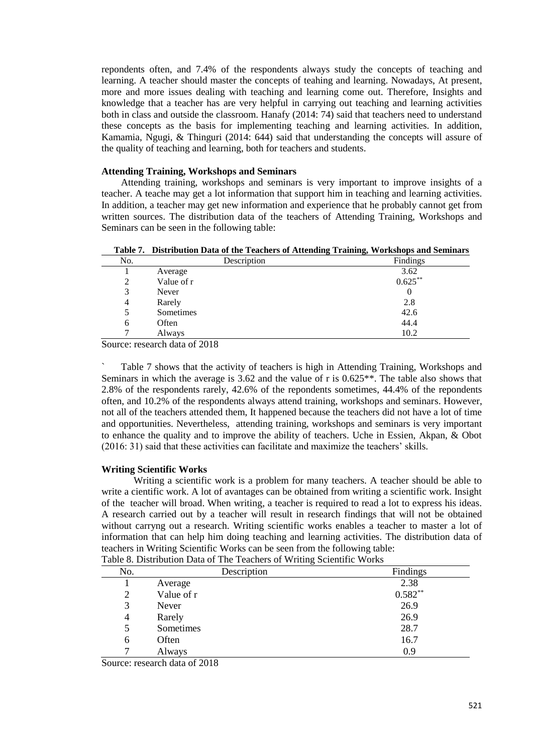repondents often, and 7.4% of the respondents always study the concepts of teaching and learning. A teacher should master the concepts of teahing and learning. Nowadays, At present, more and more issues dealing with teaching and learning come out. Therefore, Insights and knowledge that a teacher has are very helpful in carrying out teaching and learning activities both in class and outside the classroom. Hanafy (2014: 74) said that teachers need to understand these concepts as the basis for implementing teaching and learning activities. In addition, Kamamia, Ngugi, & Thinguri (2014: 644) said that understanding the concepts will assure of the quality of teaching and learning, both for teachers and students.

## **Attending Training, Workshops and Seminars**

Attending training, workshops and seminars is very important to improve insights of a teacher. A teache may get a lot information that support him in teaching and learning activities. In addition, a teacher may get new information and experience that he probably cannot get from written sources. The distribution data of the teachers of Attending Training, Workshops and Seminars can be seen in the following table:

**Table 7. Distribution Data of the Teachers of Attending Training, Workshops and Seminars**

| No.            | Description | $\cdot$<br>Findings  |
|----------------|-------------|----------------------|
|                | Average     | $3.62$<br>$0.625***$ |
| 2              | Value of r  |                      |
| 3              | Never       | U                    |
| $\overline{4}$ | Rarely      | 2.8                  |
| 5              | Sometimes   | 42.6                 |
| 6              | Often       | 44.4                 |
|                | Always      | 10.2                 |

Source: research data of 2018

Table 7 shows that the activity of teachers is high in Attending Training, Workshops and Seminars in which the average is 3.62 and the value of r is 0.625\*\*. The table also shows that 2.8% of the respondents rarely, 42.6% of the repondents sometimes, 44.4% of the repondents often, and 10.2% of the respondents always attend training, workshops and seminars. However, not all of the teachers attended them, It happened because the teachers did not have a lot of time and opportunities. Nevertheless, attending training, workshops and seminars is very important to enhance the quality and to improve the ability of teachers. Uche in Essien, Akpan, & Obot (2016: 31) said that these activities can facilitate and maximize the teachers' skills.

## **Writing Scientific Works**

Writing a scientific work is a problem for many teachers. A teacher should be able to write a cientific work. A lot of avantages can be obtained from writing a scientific work. Insight of the teacher will broad. When writing, a teacher is required to read a lot to express his ideas. A research carried out by a teacher will result in research findings that will not be obtained without carryng out a research. Writing scientific works enables a teacher to master a lot of information that can help him doing teaching and learning activities. The distribution data of teachers in Writing Scientific Works can be seen from the following table: Table 8. Distribution Data of The Teachers of Writing Scientific Works

| No. | acre of Broardenburg Bara or The Teachers of Winning Berename World<br>Description | Findings  |
|-----|------------------------------------------------------------------------------------|-----------|
|     | Average                                                                            | 2.38      |
| 2   | Value of r                                                                         | $0.582**$ |
| 3   | Never                                                                              | 26.9      |
| 4   | Rarely                                                                             | 26.9      |
| 5   | Sometimes                                                                          | 28.7      |
| 6   | Often                                                                              | 16.7      |
|     | Always                                                                             | 0.9       |

Source: research data of 2018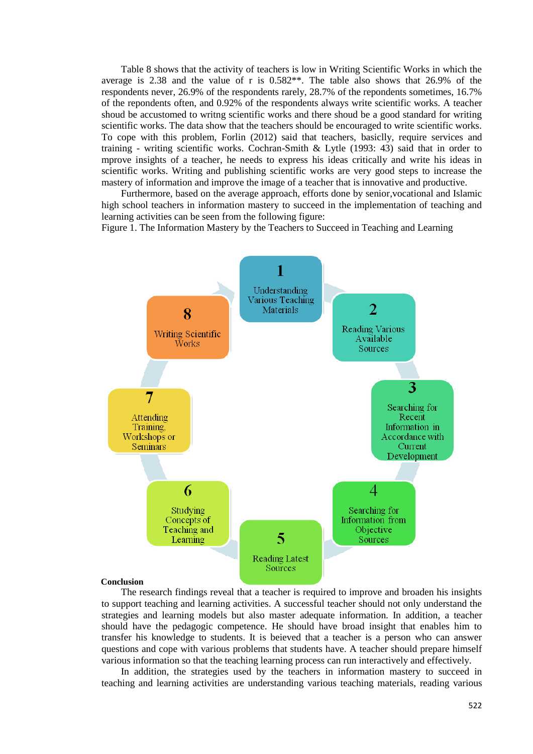Table 8 shows that the activity of teachers is low in Writing Scientific Works in which the average is 2.38 and the value of r is 0.582\*\*. The table also shows that 26.9% of the respondents never, 26.9% of the respondents rarely, 28.7% of the repondents sometimes, 16.7% of the repondents often, and 0.92% of the respondents always write scientific works. A teacher shoud be accustomed to writng scientific works and there shoud be a good standard for writing scientific works. The data show that the teachers should be encouraged to write scientific works. To cope with this problem, Forlin (2012) said that teachers, basiclly, require services and training - writing scientific works. Cochran-Smith & Lytle (1993: 43) said that in order to mprove insights of a teacher, he needs to express his ideas critically and write his ideas in scientific works. Writing and publishing scientific works are very good steps to increase the mastery of information and improve the image of a teacher that is innovative and productive.

Furthermore, based on the average approach, efforts done by senior,vocational and Islamic high school teachers in information mastery to succeed in the implementation of teaching and learning activities can be seen from the following figure:

Figure 1. The Information Mastery by the Teachers to Succeed in Teaching and Learning



#### **Conclusion**

The research findings reveal that a teacher is required to improve and broaden his insights to support teaching and learning activities. A successful teacher should not only understand the strategies and learning models but also master adequate information. In addition, a teacher should have the pedagogic competence. He should have broad insight that enables him to transfer his knowledge to students. It is beieved that a teacher is a person who can answer questions and cope with various problems that students have. A teacher should prepare himself various information so that the teaching learning process can run interactively and effectively.

In addition, the strategies used by the teachers in information mastery to succeed in teaching and learning activities are understanding various teaching materials, reading various